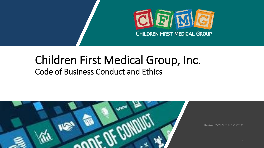

# Children First Medical Group, Inc. Code of Business Conduct and Ethics

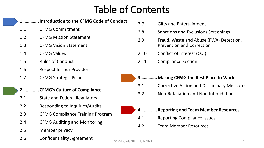# Table of Contents

### **1…………..Introduction to the CFMG Code of Conduct**

- 1.1 CFMG Commitment
- 1.2 CFMG Mission Statement
- 1.3 CFMG Vision Statement
- 1.4 CFMG Values
- 1.5 Rules of Conduct
- 1.6 Respect for our Providers
- 1.7 CFMG Strategic Pillars

#### **2…………..CFMG's Culture of Compliance**

- 2.1 State and Federal Regulators
- 2.2 Responding to Inquiries/Audits
- 2.3 CFMG Compliance Training Program
- 2.4 CFMG Auditing and Monitoring
- 2.5 Member privacy
- **2.6** Confidentiality Agreement Revised 7/24/2018, 1/1/2021

|                                         | 2.7  | <b>Gifts and Entertainment</b>                                              |  |  |
|-----------------------------------------|------|-----------------------------------------------------------------------------|--|--|
|                                         | 2.8  | Sanctions and Exclusions Screenings                                         |  |  |
|                                         | 2.9  | Fraud, Waste and Abuse (FWA) Detection,<br><b>Prevention and Correction</b> |  |  |
|                                         | 2.10 | Conflict of Interest (COI)                                                  |  |  |
|                                         | 2.11 | <b>Compliance Section</b>                                                   |  |  |
|                                         |      |                                                                             |  |  |
| Making CFMG the Best Place to Work<br>3 |      |                                                                             |  |  |

- 3.1 Corrective Action and Disciplinary Measures
- 3.2 Non-Retaliation and Non-Intimidation



- **4…………..Reporting and Team Member Resources**
- 4.1 Reporting Compliance Issues
- 4.2 Team Member Resources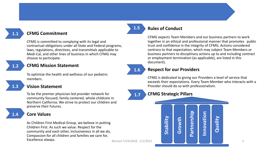### **1.1**

#### **CFMG Commitment**

CFMG is committed to complying with its legal and contractual obligations under all State and Federal programs, laws, regulations, directives, and transmittals applicable to Medi-Cal, and other lines of business in which CFMG may choose to participate.

#### **1.2**

#### **CFMG Mission Statement**

To optimize the health and wellness of our pediatric members.

#### **1.3**

#### **Vision Statement**

To be the premier physician-led provider network for community focused, family centered, whole childcare in Northern California. We strive to protect our children and preserve their futures.

#### **Core Values**

As Children First Medical Group, we believe in putting Children First. As such we value: Respect for the community and each other, Inclusiveness in all we do, Compassion for all children and families we care for, **Excellence always.** And the second of the second of the second of the second of the second of the second of the second of the second of the second of the second of the second of the second of the second of the second of

#### **Rules of Conduct**

**1.5**

**1.7**

**1.6**

CFMG expects Team Members and our business partners to work together in an ethical and professional manner that promotes public trust and confidence in the integrity of CFMG. Actions considered contrary to that expectation, which may subject Team Members or business partners to disciplinary actions up to and including contract or employment termination (as applicable), are listed in this document).

#### **Respect for our Providers**

CFMG is dedicated to giving our Providers a level of service that exceeds their expectations. Every Team Member who interacts with a Provider should do so with professionalism.

#### **CFMG Strategic Pillars**

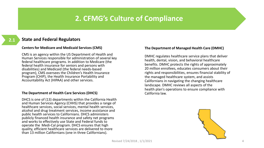## **2. CFMG's Culture of Compliance**

#### **2.1**

#### **State and Federal Regulators**

#### **Centers for Medicare and Medicaid Services (CMS)**

CMS is an agency within the US Department of Health and Human Services responsible for administration of several key federal healthcare programs. In addition to Medicare (the federal health insurance for seniors and persons with disabilities) and Medicaid (the federal needs-based program), CMS oversees the Children's Health Insurance Program (CHIP), the Health Insurance Portability and Accountability Act (HIPAA) and other services.

#### **The Department of Health Care Services (DHCS)**

DHCS is one of (13) departments within the California Health and Human Services Agency (CHHS) that provides a range of healthcare services, social services, mental health services, alcohol and drug treatment services, income assistance and public health services to Californians. DHCS administers publicly financed health insurance and safety net programs and works to effectively use State and Federal funds to operate the Medi-Cal program. DHCS ensures that high quality, efficient healthcare services are delivered to more than 13 million Californians (one in three Californians).

#### **The Department of Managed Health Care (DMHC)**

DMHC regulates healthcare service plans that deliver health, dental, vision, and behavioral healthcare benefits. DMHC protects the rights of approximately 20 million enrollees, educates consumers about their rights and responsibilities, ensures financial stability of the managed healthcare system, and assists Californians in navigating the changing healthcare landscape. DMHC reviews all aspects of the health plan's operations to ensure compliance with California law.

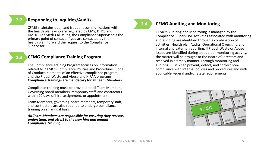#### **2.2**

#### **Responding to Inquiries/Audits**

CFMG maintains open and frequent communications with the health plans who are regulated by CMS, DHCS and DMHC. For Medi-Cal issues, the Compliance Supervisor is the primary point of contact. If you are contacted by the health plan, forward the request to the Compliance Supervisor.

**2.3**

#### **CFMG Compliance Training Program**

The Compliance Training Program focuses on information related to CFMG's Compliance Policies and Procedures, Code of Conduct, elements of an effective compliance program, and the Fraud, Waste and Abuse and HIPAA programs. **Compliance Trainings are mandatory for all Team Members.** 

Compliance training must be provided to all Team Members, Governing board members, temporary staff, and contractors within 90 days of hire, assignment, or appointment.

Team Members, governing board members, temporary staff, and contractors are also required to undergo compliance training on an annual basis

*All Team Members are responsible for ensuring they receive, understand, and attest to the new hire and annual Compliance Training.* 

**2.4**

#### **CFMG Auditing and Monitoring**

CFMG's Auditing and Monitoring is managed by the Compliance Supervisor. Activities associated with monitoring and auditing are identified through a combination of activities: Health plan Audits, Operational Oversight, and internal and external reporting. If Fraud, Waste or Abuse issues are identified during an audit or monitoring activity, the matter will be brought to the Board of Directors and resolved in a timely manner. Through monitoring and auditing, CFMG can prevent, detect, and correct noncompliance with internal policies and procedures and with applicable Federal and/or State requirements.

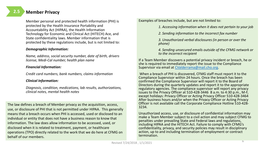#### **Member Privacy**

Member personal and protected health information (PHI) is protected by the Health Insurance Portability and Accountability Act (HIPAA), the Health Information Technology for Economic and Clinical Act (HITECH) Ace, and State confidentiality laws. Member information that is protected by these regulations include, but is not limited to:

#### *Demographic Information:*

*Name, address, social security number, date of birth, drivers license, Medi-Cal number, health plan name*

#### *Financial Information:*

*Credit card numbers, bank numbers, claims information*

#### *Clinical Information:*

*Diagnosis, condition, medications, lab results, authorizations, clinical notes, mental health notes*

The law defines a breach of Member privacy as the acquisition, access, use, or disclosure of PHI that is not permitted under HIPAA. This generally means that a breach occurs when PHI is accessed, used or disclosed to an individual or entity that does not have a business reason to know that information. The law does allow information to be accessed, used, or disclosed when it is related to treatment, payment, or healthcare operations (TPO) directly related to the work that we do here at CFMG on behalf of our members.

Examples of breaches include, but are not limited to:

*1. Accessing information when it does not pertain to your job*

*2. Sending information to the incorrect fax number*

*3. Unauthorized verbal disclosures (in person or over the phone)*

*4. Sending unsecured emails outside of the CFMG network or to the incorrect recipient*

If a Team Member discovers a potential privacy incident or breach, he or she is required to immediately report the issue to the Compliance Supervisor via email at [CValderrama@mail.cho.org.](about:blank)

When a breach of PHI is discovered, CFMG staff must report it to the Compliance Supervisor within 24 hours. Once the breach has been confirmed the Compliance Supervisor will report it to the Board of Directors during the quarterly updates and report it to the appropriate regulatory agencies. The compliance supervisor will report any privacy issues to the Privacy Officer at 510-428-3446 8 a.m. to 4:30 p.m., M-F, except holidays: Privacy Officer or Acting Privacy Officer 510-428-3464 After business hours and/or when the Privacy Officer or Acting Privacy Officer is not available call the Corporate Compliance Hotline 510-428- 3234.

Unauthorized access, use, or disclosure of confidential information may make a Team Member subject to a civil action and may subject CFMG to penalties under prevailing State and Federal laws and regulations, including HIPAA and the HITECH Act. Failure to comply with CFMG's confidentiality, privacy, and security policies may result in disciplinary action, up to and including termination of employment or contract termination.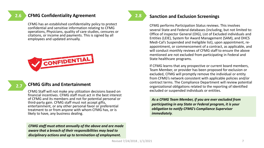#### **CFMG Confidentiality Agreement**

CFMG has an established confidentiality policy to protect confidential and sensitive information relating to CFMG operations, Physicians, quality of care studies, censures or citations, or income and payments. This is signed by all employees and updated annually.



#### **CFMG Gifts and Entertainment**

CFMG Staff will not make any utilization decisions based on financial incentives. CFMG staff must act in the best interest of CFMG and its members and not for potential personal or third-party gain. CFMG staff must not accept gifts, entertainment, or any other personal favor or preferential treatment to or from anyone with whom CFMG has, or is likely to have, any business dealing.

*CFMG staff must attest annually of the above and are made aware that a breach of their responsibilities may lead to disciplinary actions and up to termination of employment.*

**2.8**

#### **2.6 Sanction and Exclusion Screenings**

CFMG performs Participation Status reviews. This involves several State and Federal databases (including, but not limited to: Office of inspector General (OIG), List of Excluded individuals and Entities (LEIE), System for Award Management (SAM), and DHCS Medi-Cal's Suspended and Ineligible list), upon appointment, reappointment, or commencement of a contract, as applicable, and will conduct monthly reviews of CFMG staff to ensure the above mentioned are not excluded from participating in Federal and State healthcare programs.

If CFMG learns that any prospective or current board members, Team Member, or provider has been proposed for exclusion or excluded, CFMG will promptly remove the individual or entity from CFMG's network consistent with applicable policies and/or contract terms. The Compliance Department will review potential organizational obligations related to the reporting of identified excluded or suspended individuals or entities.

*As a CFMG Team Member, if you are ever excluded from participating in any State or Federal program, it is your obligation to notify CFMG's Compliance Supervisor immediately.*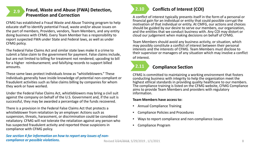#### **Fraud, Waste and Abuse (FWA) Detection, 2.9 Conflicts of Interest (COI) Prevention and Correction**

CFMG has established a Fraud Waste and Abuse Training program to help educate staff to identify potential Fraud, waste and/or abuse issues on the part of members, Providers, vendors, Team Members, and any entity doing business with CFMG. Every Team Member has a responsibility to report suspected FWA under State and Federal laws, as well as under CFMG policy.

The Federal False Claims Act and similar state laws make it a crime to submit a false claim to the government for payment. False claims include, but are not limited to billing for treatment not rendered; upcoding to bill for a higher reimbursement; and falsifying records to support billed amounts.

These same laws protect individuals know as "whistleblowers." These individuals generally have inside knowledge of potential non-compliant or fraudulent activities such as false claims billing by companies for whom they work or have worked.

Under the Federal False Claims Act, whistleblowers may bring a civil suit against the company on behalf of the U.S. Government and, if the suit is successful, they may be awarded a percentage of the funds recovered.

There is a provision in the Federal False Claims Act that protects a whistleblower from retaliation by an employer. Actions such as suspension, threats, harassment, or discrimination could be considered retaliatory. CFMG will not tolerate the retaliation against any person who has suspected fraudulent activity and reported those suspicions in compliance with CFMG policy.



A conflict of interest typically presents itself in the form of a personal or financial gain for an individual or entity that could possible corrupt the motivation of that individual or entity. At CMFG, our actions and choices should be guided by our desire to serve our members, our organization, and the entities that we conduct business with. Any COI may distort or cloud our judgement when making decisions on behalf of CFMG.

Team Members should avoid any business activity, or situation, which may possibly constitute a conflict of interest between their personal interests and the interests of CFMG. Team Members must disclose to their supervisor or managers of any situation which may involve a conflict of interest.



#### **Compliance Section**

CFMG is committed to maintaining a working environment that fosters conducting business with integrity to help the organization meet the highest ethical standards in providing quality healthcare to our members. The compliance training is listed on the CFMG website, CFMG Compliance aims to provide Team Members and providers with regulatory information.

#### **Team Members have access to:**

- Annual Compliance Training
- Compliance Policies and Procedures
- Ways to report compliance and non-compliance issues
- Compliance Program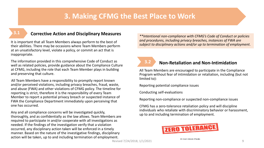## **3. Making CFMG the Best Place to Work**

### **3.1 Corrective Action and Disciplinary Measures**

It is important that all Team Members always perform to the best of their abilities. There may be occasions where Team Members perform at an unsatisfactory level, violate a policy, or commit an act that is inappropriate.

The information provided in this comprehensive Code of Conduct as well as related policies, provide guidance about the Compliance Culture at CFMG, including the role that each Team Member plays in building and preserving that culture.

All Team Members have a responsibility to promptly report known and/or perceived violations, including privacy breaches, fraud, waste, and abuse (FWA) and other violations of CFMG policy. The timeline for reporting is strict, therefore it is the responsibility of every Team Member to report a potential privacy breach or suspected instance of FWA the Compliance Department immediately upon perceiving that one has occurred.

Any and all compliance concerns will be investigated quickly, thoroughly, and as confidentially as the law allows. Team Members are required to participate in and/or cooperate with all investigations as needed. If the findings of the investigation verify that a violation occurred, any disciplinary action taken will be enforced in a timely manner. Based on the nature of the investigative findings, disciplinary action will be taken, up to and including termination of employment.

*\*\*Intentional non-compliance with CFMG's Code of Conduct or policies and procedures, including privacy breaches, instances of FWA are subject to disciplinary actions and/or up to termination of employment*.

## **3.2**

#### **Non-Retaliation and Non-Intimidation**

All Team Members are encouraged to participate in the Compliance Program without fear of intimidation or retaliation, including (but not limited to):

Reporting potential compliance issues

Conducting self-evaluations

Reporting non-compliance or suspected non-compliance issues

CFMG has a zero-tolerance retaliation policy and will discipline individuals who retaliate with discriminatory behavior or harassment, up to and including termination of employment.



Can Stock Photo